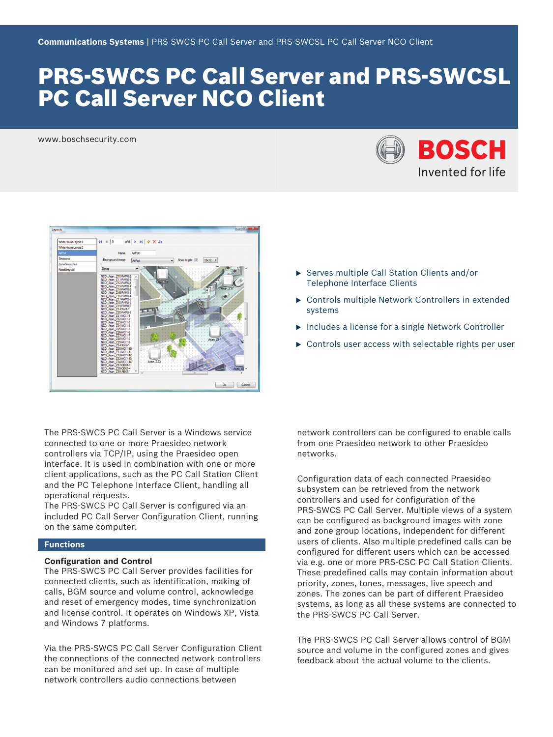# PRS‑SWCS PC Call Server and PRS‑SWCSL PC Call Server NCO Client

www.boschsecurity.com





The PRS‑SWCS PC Call Server is a Windows service connected to one or more Praesideo network controllers via TCP/IP, using the Praesideo open interface. It is used in combination with one or more client applications, such as the PC Call Station Client and the PC Telephone Interface Client, handling all operational requests.

The PRS‑SWCS PC Call Server is configured via an included PC Call Server Configuration Client, running on the same computer.

### **Functions**

#### **Configuration and Control**

The PRS‑SWCS PC Call Server provides facilities for connected clients, such as identification, making of calls, BGM source and volume control, acknowledge and reset of emergency modes, time synchronization and license control. It operates on Windows XP, Vista and Windows 7 platforms.

Via the PRS‑SWCS PC Call Server Configuration Client the connections of the connected network controllers can be monitored and set up. In case of multiple network controllers audio connections between

- $\triangleright$  Serves multiple Call Station Clients and/or Telephone Interface Clients
- $\triangleright$  Controls multiple Network Controllers in extended systems
- $\blacktriangleright$  Includes a license for a single Network Controller
- $\triangleright$  Controls user access with selectable rights per user

network controllers can be configured to enable calls from one Praesideo network to other Praesideo networks.

Configuration data of each connected Praesideo subsystem can be retrieved from the network controllers and used for configuration of the PRS‑SWCS PC Call Server. Multiple views of a system can be configured as background images with zone and zone group locations, independent for different users of clients. Also multiple predefined calls can be configured for different users which can be accessed via e.g. one or more PRS‑CSC PC Call Station Clients. These predefined calls may contain information about priority, zones, tones, messages, live speech and zones. The zones can be part of different Praesideo systems, as long as all these systems are connected to the PRS‑SWCS PC Call Server.

The PRS‑SWCS PC Call Server allows control of BGM source and volume in the configured zones and gives feedback about the actual volume to the clients.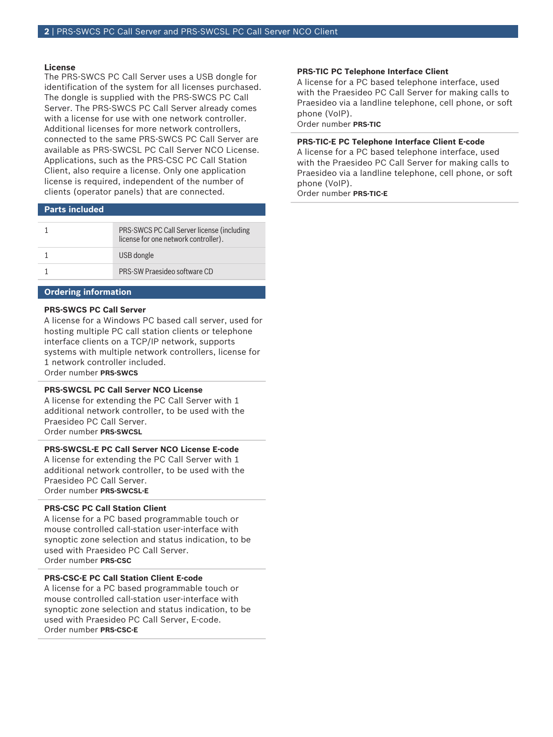#### **License**

The PRS‑SWCS PC Call Server uses a USB dongle for identification of the system for all licenses purchased. The dongle is supplied with the PRS‑SWCS PC Call Server. The PRS‑SWCS PC Call Server already comes with a license for use with one network controller. Additional licenses for more network controllers, connected to the same PRS‑SWCS PC Call Server are available as PRS-SWCSL PC Call Server NCO License. Applications, such as the PRS‑CSC PC Call Station Client, also require a license. Only one application license is required, independent of the number of clients (operator panels) that are connected.

### **Parts included**

| PRS-SWCS PC Call Server license (including<br>license for one network controller). |
|------------------------------------------------------------------------------------|
| USB dongle                                                                         |
| PRS-SW Praesideo software CD                                                       |

### **Ordering information**

## **PRS‑SWCS PC Call Server**

A license for a Windows PC based call server, used for hosting multiple PC call station clients or telephone interface clients on a TCP/IP network, supports systems with multiple network controllers, license for 1 network controller included. Order number **PRS-SWCS**

### **PRS‑SWCSL PC Call Server NCO License**

A license for extending the PC Call Server with 1 additional network controller, to be used with the Praesideo PC Call Server. Order number **PRS‑SWCSL**

#### **PRS‑SWCSL‑E PC Call Server NCO License E‑code**

A license for extending the PC Call Server with 1 additional network controller, to be used with the Praesideo PC Call Server. Order number **PRS-SWCSL-E**

#### **PRS‑CSC PC Call Station Client**

A license for a PC based programmable touch or mouse controlled call-station user-interface with synoptic zone selection and status indication, to be used with Praesideo PC Call Server. Order number **PRS-CSC**

#### **PRS-CSC-E PC Call Station Client E-code**

A license for a PC based programmable touch or mouse controlled call-station user-interface with synoptic zone selection and status indication, to be used with Praesideo PC Call Server, E-code. Order number **PRS-CSC-E**

#### **PRS‑TIC PC Telephone Interface Client**

A license for a PC based telephone interface, used with the Praesideo PC Call Server for making calls to Praesideo via a landline telephone, cell phone, or soft phone (VoIP).

Order number **PRS-TIC**

#### **PRS-TIC-E PC Telephone Interface Client E‑code**

A license for a PC based telephone interface, used with the Praesideo PC Call Server for making calls to Praesideo via a landline telephone, cell phone, or soft phone (VoIP).

Order number **PRS-TIC-E**